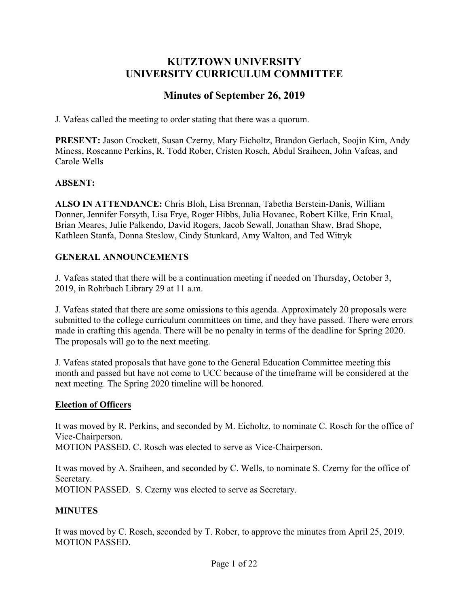# **KUTZTOWN UNIVERSITY UNIVERSITY CURRICULUM COMMITTEE**

# **Minutes of September 26, 2019**

J. Vafeas called the meeting to order stating that there was a quorum.

**PRESENT:** Jason Crockett, Susan Czerny, Mary Eicholtz, Brandon Gerlach, Soojin Kim, Andy Miness, Roseanne Perkins, R. Todd Rober, Cristen Rosch, Abdul Sraiheen, John Vafeas, and Carole Wells

#### **ABSENT:**

**ALSO IN ATTENDANCE:** Chris Bloh, Lisa Brennan, Tabetha Berstein-Danis, William Donner, Jennifer Forsyth, Lisa Frye, Roger Hibbs, Julia Hovanec, Robert Kilke, Erin Kraal, Brian Meares, Julie Palkendo, David Rogers, Jacob Sewall, Jonathan Shaw, Brad Shope, Kathleen Stanfa, Donna Steslow, Cindy Stunkard, Amy Walton, and Ted Witryk

#### **GENERAL ANNOUNCEMENTS**

J. Vafeas stated that there will be a continuation meeting if needed on Thursday, October 3, 2019, in Rohrbach Library 29 at 11 a.m.

J. Vafeas stated that there are some omissions to this agenda. Approximately 20 proposals were submitted to the college curriculum committees on time, and they have passed. There were errors made in crafting this agenda. There will be no penalty in terms of the deadline for Spring 2020. The proposals will go to the next meeting.

J. Vafeas stated proposals that have gone to the General Education Committee meeting this month and passed but have not come to UCC because of the timeframe will be considered at the next meeting. The Spring 2020 timeline will be honored.

#### **Election of Officers**

It was moved by R. Perkins, and seconded by M. Eicholtz, to nominate C. Rosch for the office of Vice-Chairperson.

MOTION PASSED. C. Rosch was elected to serve as Vice-Chairperson.

It was moved by A. Sraiheen, and seconded by C. Wells, to nominate S. Czerny for the office of Secretary.

MOTION PASSED. S. Czerny was elected to serve as Secretary.

### **MINUTES**

It was moved by C. Rosch, seconded by T. Rober, to approve the minutes from April 25, 2019. MOTION PASSED.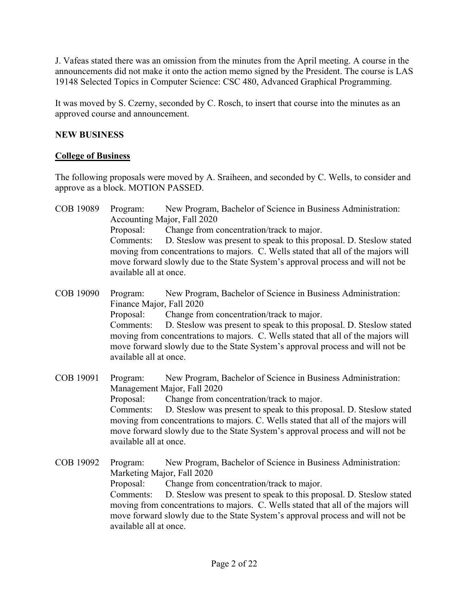J. Vafeas stated there was an omission from the minutes from the April meeting. A course in the announcements did not make it onto the action memo signed by the President. The course is LAS 19148 Selected Topics in Computer Science: CSC 480, Advanced Graphical Programming.

It was moved by S. Czerny, seconded by C. Rosch, to insert that course into the minutes as an approved course and announcement.

## **NEW BUSINESS**

### **College of Business**

The following proposals were moved by A. Sraiheen, and seconded by C. Wells, to consider and approve as a block. MOTION PASSED.

COB 19089 Program: New Program, Bachelor of Science in Business Administration: Accounting Major, Fall 2020 Proposal: Change from concentration/track to major. Comments: D. Steslow was present to speak to this proposal. D. Steslow stated moving from concentrations to majors. C. Wells stated that all of the majors will move forward slowly due to the State System's approval process and will not be available all at once.

COB 19090 Program: New Program, Bachelor of Science in Business Administration: Finance Major, Fall 2020 Proposal: Change from concentration/track to major. Comments: D. Steslow was present to speak to this proposal. D. Steslow stated moving from concentrations to majors. C. Wells stated that all of the majors will move forward slowly due to the State System's approval process and will not be available all at once.

COB 19091 Program: New Program, Bachelor of Science in Business Administration: Management Major, Fall 2020 Proposal: Change from concentration/track to major. Comments: D. Steslow was present to speak to this proposal. D. Steslow stated moving from concentrations to majors. C. Wells stated that all of the majors will move forward slowly due to the State System's approval process and will not be available all at once.

COB 19092 Program: New Program, Bachelor of Science in Business Administration: Marketing Major, Fall 2020 Proposal: Change from concentration/track to major. Comments: D. Steslow was present to speak to this proposal. D. Steslow stated moving from concentrations to majors. C. Wells stated that all of the majors will move forward slowly due to the State System's approval process and will not be available all at once.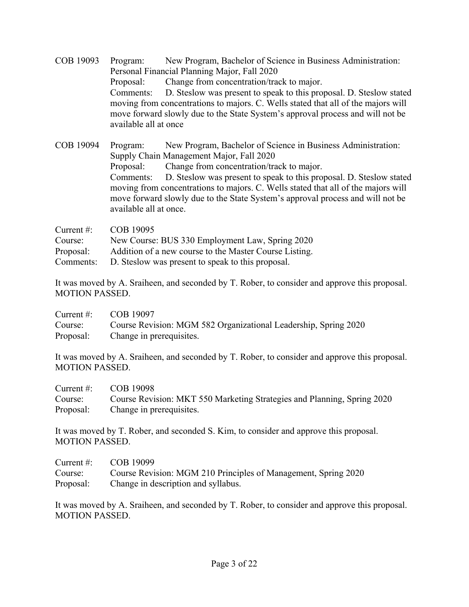COB 19093 Program: New Program, Bachelor of Science in Business Administration: Personal Financial Planning Major, Fall 2020 Proposal: Change from concentration/track to major. Comments: D. Steslow was present to speak to this proposal. D. Steslow stated moving from concentrations to majors. C. Wells stated that all of the majors will move forward slowly due to the State System's approval process and will not be available all at once

COB 19094 Program: New Program, Bachelor of Science in Business Administration: Supply Chain Management Major, Fall 2020 Proposal: Change from concentration/track to major. Comments: D. Steslow was present to speak to this proposal. D. Steslow stated moving from concentrations to majors. C. Wells stated that all of the majors will move forward slowly due to the State System's approval process and will not be available all at once.

| Current $\#$ : | COB 19095                                              |
|----------------|--------------------------------------------------------|
| Course:        | New Course: BUS 330 Employment Law, Spring 2020        |
| Proposal:      | Addition of a new course to the Master Course Listing. |
| Comments:      | D. Steslow was present to speak to this proposal.      |

It was moved by A. Sraiheen, and seconded by T. Rober, to consider and approve this proposal. MOTION PASSED.

| Current $\#$ : | COB 19097                                                       |
|----------------|-----------------------------------------------------------------|
| Course:        | Course Revision: MGM 582 Organizational Leadership, Spring 2020 |
| Proposal:      | Change in prerequisites.                                        |

It was moved by A. Sraiheen, and seconded by T. Rober, to consider and approve this proposal. MOTION PASSED.

Current #: COB 19098 Course: Course Revision: MKT 550 Marketing Strategies and Planning, Spring 2020 Proposal: Change in prerequisites.

It was moved by T. Rober, and seconded S. Kim, to consider and approve this proposal. MOTION PASSED.

| Current #: | COB 19099                                                      |
|------------|----------------------------------------------------------------|
| Course:    | Course Revision: MGM 210 Principles of Management, Spring 2020 |
| Proposal:  | Change in description and syllabus.                            |

It was moved by A. Sraiheen, and seconded by T. Rober, to consider and approve this proposal. MOTION PASSED.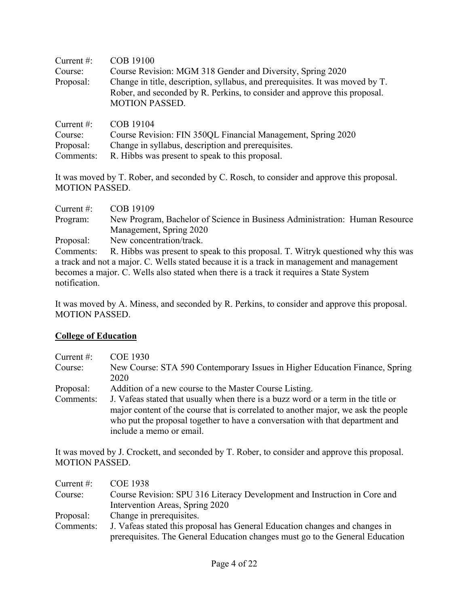| Current $#$ : | COB 19100                                                                                                                                                                           |
|---------------|-------------------------------------------------------------------------------------------------------------------------------------------------------------------------------------|
| Course:       | Course Revision: MGM 318 Gender and Diversity, Spring 2020                                                                                                                          |
| Proposal:     | Change in title, description, syllabus, and prerequisites. It was moved by T.<br>Rober, and seconded by R. Perkins, to consider and approve this proposal.<br><b>MOTION PASSED.</b> |
| Current $#$ : | COB 19104                                                                                                                                                                           |
| Course:       | Course Revision: FIN 350QL Financial Management, Spring 2020                                                                                                                        |
| Proposal:     | Change in syllabus, description and prerequisites.                                                                                                                                  |

Comments: R. Hibbs was present to speak to this proposal.

It was moved by T. Rober, and seconded by C. Rosch, to consider and approve this proposal. MOTION PASSED.

| Current $#$ :                                                                          | COB 19109                                                                                   |
|----------------------------------------------------------------------------------------|---------------------------------------------------------------------------------------------|
| Program:                                                                               | New Program, Bachelor of Science in Business Administration: Human Resource                 |
|                                                                                        | Management, Spring 2020                                                                     |
| Proposal:                                                                              | New concentration/track.                                                                    |
| Comments:                                                                              | R. Hibbs was present to speak to this proposal. T. Witryk questioned why this was           |
|                                                                                        | a track and not a major. C. Wells stated because it is a track in management and management |
| becomes a major. C. Wells also stated when there is a track it requires a State System |                                                                                             |
| notification.                                                                          |                                                                                             |

It was moved by A. Miness, and seconded by R. Perkins, to consider and approve this proposal. MOTION PASSED.

### **College of Education**

| Current $#$ : | <b>COE 1930</b>                                                                    |
|---------------|------------------------------------------------------------------------------------|
| Course:       | New Course: STA 590 Contemporary Issues in Higher Education Finance, Spring        |
|               | 2020                                                                               |
| Proposal:     | Addition of a new course to the Master Course Listing.                             |
| Comments:     | J. Vafeas stated that usually when there is a buzz word or a term in the title or  |
|               | major content of the course that is correlated to another major, we ask the people |
|               | who put the proposal together to have a conversation with that department and      |
|               | include a memo or email.                                                           |

It was moved by J. Crockett, and seconded by T. Rober, to consider and approve this proposal. MOTION PASSED.

| Current $#$ : | <b>COE 1938</b>                                                               |
|---------------|-------------------------------------------------------------------------------|
| Course:       | Course Revision: SPU 316 Literacy Development and Instruction in Core and     |
|               | Intervention Areas, Spring 2020                                               |
| Proposal:     | Change in prerequisites.                                                      |
| Comments:     | J. Vafeas stated this proposal has General Education changes and changes in   |
|               | prerequisites. The General Education changes must go to the General Education |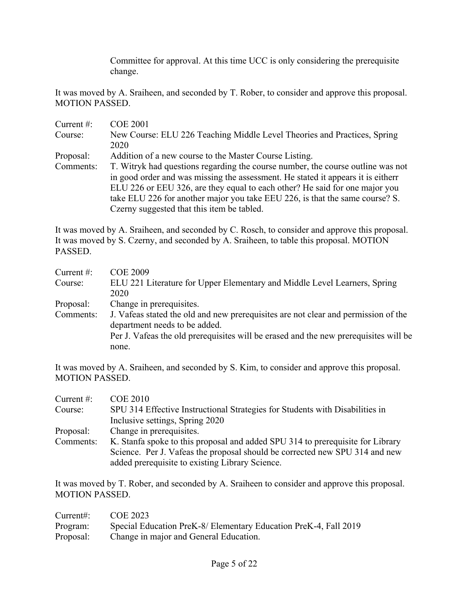Committee for approval. At this time UCC is only considering the prerequisite change.

It was moved by A. Sraiheen, and seconded by T. Rober, to consider and approve this proposal. MOTION PASSED.

| Current $#$ : | <b>COE 2001</b>                                                                  |
|---------------|----------------------------------------------------------------------------------|
| Course:       | New Course: ELU 226 Teaching Middle Level Theories and Practices, Spring         |
|               | 2020                                                                             |
| Proposal:     | Addition of a new course to the Master Course Listing.                           |
| Comments:     | T. Witryk had questions regarding the course number, the course outline was not  |
|               | in good order and was missing the assessment. He stated it appears it is eitherr |
|               | ELU 226 or EEU 326, are they equal to each other? He said for one major you      |
|               | take ELU 226 for another major you take EEU 226, is that the same course? S.     |
|               | Czerny suggested that this item be tabled.                                       |

It was moved by A. Sraiheen, and seconded by C. Rosch, to consider and approve this proposal. It was moved by S. Czerny, and seconded by A. Sraiheen, to table this proposal. MOTION PASSED.

| Current $#$ : | <b>COE 2009</b>                                                                      |
|---------------|--------------------------------------------------------------------------------------|
| Course:       | ELU 221 Literature for Upper Elementary and Middle Level Learners, Spring            |
|               | 2020                                                                                 |
| Proposal:     | Change in prerequisites.                                                             |
| Comments:     | J. Vafeas stated the old and new prerequisites are not clear and permission of the   |
|               | department needs to be added.                                                        |
|               | Per J. Vafeas the old prerequisites will be erased and the new prerequisites will be |
|               | none.                                                                                |

It was moved by A. Sraiheen, and seconded by S. Kim, to consider and approve this proposal. MOTION PASSED.

| Current $#$ : | <b>COE 2010</b>                                                                |
|---------------|--------------------------------------------------------------------------------|
| Course:       | SPU 314 Effective Instructional Strategies for Students with Disabilities in   |
|               | Inclusive settings, Spring 2020                                                |
| Proposal:     | Change in prerequisites.                                                       |
| Comments:     | K. Stanfa spoke to this proposal and added SPU 314 to prerequisite for Library |
|               | Science. Per J. Vafeas the proposal should be corrected new SPU 314 and new    |
|               | added prerequisite to existing Library Science.                                |

It was moved by T. Rober, and seconded by A. Sraiheen to consider and approve this proposal. MOTION PASSED.

| Current:  | COE 2023                                                         |
|-----------|------------------------------------------------------------------|
| Program:  | Special Education PreK-8/ Elementary Education PreK-4, Fall 2019 |
| Proposal: | Change in major and General Education.                           |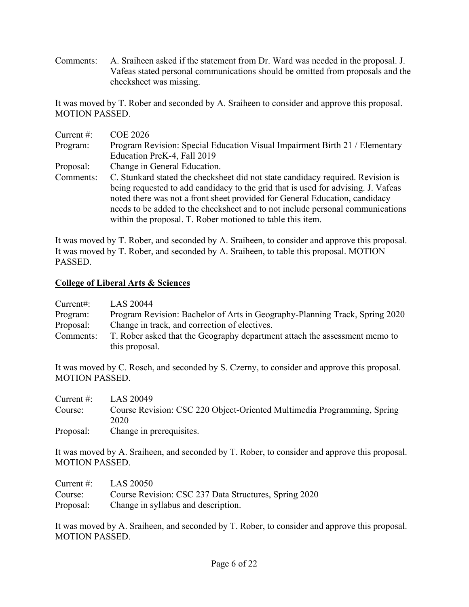Comments: A. Sraiheen asked if the statement from Dr. Ward was needed in the proposal. J. Vafeas stated personal communications should be omitted from proposals and the checksheet was missing.

It was moved by T. Rober and seconded by A. Sraiheen to consider and approve this proposal. MOTION PASSED.

| Current $#$ : | <b>COE 2026</b>                                                                   |
|---------------|-----------------------------------------------------------------------------------|
| Program:      | Program Revision: Special Education Visual Impairment Birth 21 / Elementary       |
|               | Education PreK-4, Fall 2019                                                       |
| Proposal:     | Change in General Education.                                                      |
| Comments:     | C. Stunkard stated the checksheet did not state candidacy required. Revision is   |
|               | being requested to add candidacy to the grid that is used for advising. J. Vafeas |
|               | noted there was not a front sheet provided for General Education, candidacy       |
|               | needs to be added to the checksheet and to not include personal communications    |
|               | within the proposal. T. Rober motioned to table this item.                        |

It was moved by T. Rober, and seconded by A. Sraiheen, to consider and approve this proposal. It was moved by T. Rober, and seconded by A. Sraiheen, to table this proposal. MOTION PASSED.

### **College of Liberal Arts & Sciences**

| Current:  | LAS 20044                                                                   |
|-----------|-----------------------------------------------------------------------------|
| Program:  | Program Revision: Bachelor of Arts in Geography-Planning Track, Spring 2020 |
| Proposal: | Change in track, and correction of electives.                               |
| Comments: | T. Rober asked that the Geography department attach the assessment memo to  |
|           | this proposal.                                                              |

It was moved by C. Rosch, and seconded by S. Czerny, to consider and approve this proposal. MOTION PASSED.

| Current $\#$ : | LAS 20049                                                               |
|----------------|-------------------------------------------------------------------------|
| Course:        | Course Revision: CSC 220 Object-Oriented Multimedia Programming, Spring |
|                | 2020                                                                    |
| Proposal:      | Change in prerequisites.                                                |

It was moved by A. Sraiheen, and seconded by T. Rober, to consider and approve this proposal. MOTION PASSED.

| Current #: | LAS 20050                                             |
|------------|-------------------------------------------------------|
| Course:    | Course Revision: CSC 237 Data Structures, Spring 2020 |
| Proposal:  | Change in syllabus and description.                   |

It was moved by A. Sraiheen, and seconded by T. Rober, to consider and approve this proposal. MOTION PASSED.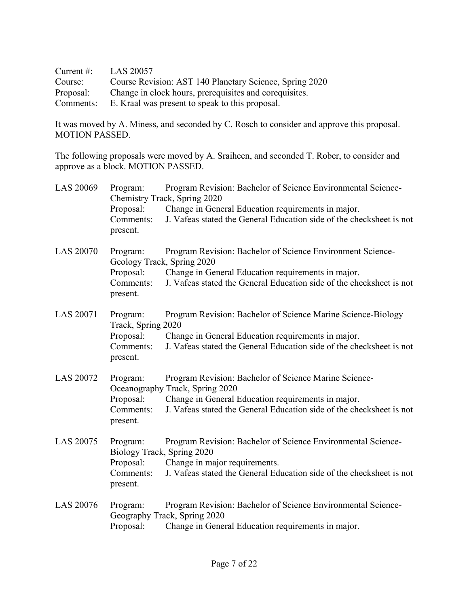| Current $\#$ : | <b>LAS 20057</b>                                        |
|----------------|---------------------------------------------------------|
| Course:        | Course Revision: AST 140 Planetary Science, Spring 2020 |
| Proposal:      | Change in clock hours, prerequisites and corequisites.  |
| Comments:      | E. Kraal was present to speak to this proposal.         |

It was moved by A. Miness, and seconded by C. Rosch to consider and approve this proposal. MOTION PASSED.

The following proposals were moved by A. Sraiheen, and seconded T. Rober, to consider and approve as a block. MOTION PASSED.

| LAS 20069        | Program:<br>Proposal:<br>Comments:<br>present.                               | Program Revision: Bachelor of Science Environmental Science-<br>Chemistry Track, Spring 2020<br>Change in General Education requirements in major.<br>J. Vafeas stated the General Education side of the checksheet is not |
|------------------|------------------------------------------------------------------------------|----------------------------------------------------------------------------------------------------------------------------------------------------------------------------------------------------------------------------|
| <b>LAS 20070</b> | Program:<br>Geology Track, Spring 2020<br>Proposal:<br>Comments:<br>present. | Program Revision: Bachelor of Science Environment Science-<br>Change in General Education requirements in major.<br>J. Vafeas stated the General Education side of the checksheet is not                                   |
| <b>LAS 20071</b> | Program:<br>Track, Spring 2020<br>Proposal:<br>Comments:<br>present.         | Program Revision: Bachelor of Science Marine Science-Biology<br>Change in General Education requirements in major.<br>J. Vafeas stated the General Education side of the checksheet is not                                 |
| <b>LAS 20072</b> | Program:<br>Proposal:<br>Comments:<br>present.                               | Program Revision: Bachelor of Science Marine Science-<br>Oceanography Track, Spring 2020<br>Change in General Education requirements in major.<br>J. Vafeas stated the General Education side of the checksheet is not     |
| <b>LAS 20075</b> | Program:<br>Biology Track, Spring 2020<br>Proposal:<br>Comments:<br>present. | Program Revision: Bachelor of Science Environmental Science-<br>Change in major requirements.<br>J. Vafeas stated the General Education side of the checksheet is not                                                      |
| <b>LAS 20076</b> | Program:<br>Proposal:                                                        | Program Revision: Bachelor of Science Environmental Science-<br>Geography Track, Spring 2020<br>Change in General Education requirements in major.                                                                         |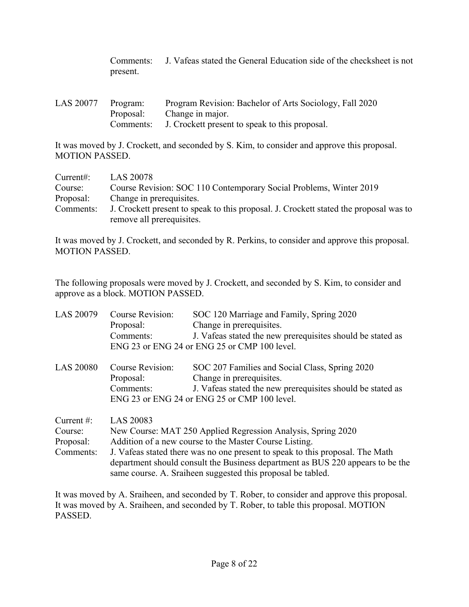Comments: J. Vafeas stated the General Education side of the checksheet is not present.

| LAS 20077 Program: |           | Program Revision: Bachelor of Arts Sociology, Fall 2020 |
|--------------------|-----------|---------------------------------------------------------|
|                    | Proposal: | Change in major.                                        |
|                    | Comments: | J. Crockett present to speak to this proposal.          |

It was moved by J. Crockett, and seconded by S. Kim, to consider and approve this proposal. MOTION PASSED.

| Current:  | LAS 20078                                                                             |
|-----------|---------------------------------------------------------------------------------------|
| Course:   | Course Revision: SOC 110 Contemporary Social Problems, Winter 2019                    |
| Proposal: | Change in prerequisites.                                                              |
| Comments: | J. Crockett present to speak to this proposal. J. Crockett stated the proposal was to |
|           | remove all prerequisites.                                                             |

It was moved by J. Crockett, and seconded by R. Perkins, to consider and approve this proposal. MOTION PASSED.

The following proposals were moved by J. Crockett, and seconded by S. Kim, to consider and approve as a block. MOTION PASSED.

| <b>LAS 20079</b>                                   | <b>Course Revision:</b><br>Proposal:<br>Comments:                                                                                                                                                                                                                                                      | SOC 120 Marriage and Family, Spring 2020<br>Change in prerequisites.<br>J. Vafeas stated the new prerequisites should be stated as<br>ENG 23 or ENG 24 or ENG 25 or CMP 100 level.       |
|----------------------------------------------------|--------------------------------------------------------------------------------------------------------------------------------------------------------------------------------------------------------------------------------------------------------------------------------------------------------|------------------------------------------------------------------------------------------------------------------------------------------------------------------------------------------|
| <b>LAS 20080</b>                                   | Course Revision:<br>Proposal:<br>Comments:                                                                                                                                                                                                                                                             | SOC 207 Families and Social Class, Spring 2020<br>Change in prerequisites.<br>J. Vafeas stated the new prerequisites should be stated as<br>ENG 23 or ENG 24 or ENG 25 or CMP 100 level. |
| Current $#$ :<br>Course:<br>Proposal:<br>Comments: | LAS 20083<br>New Course: MAT 250 Applied Regression Analysis, Spring 2020<br>Addition of a new course to the Master Course Listing.<br>J. Vafeas stated there was no one present to speak to this proposal. The Math<br>department should consult the Business department as BUS 220 appears to be the |                                                                                                                                                                                          |

It was moved by A. Sraiheen, and seconded by T. Rober, to consider and approve this proposal. It was moved by A. Sraiheen, and seconded by T. Rober, to table this proposal. MOTION PASSED.

same course. A. Sraiheen suggested this proposal be tabled.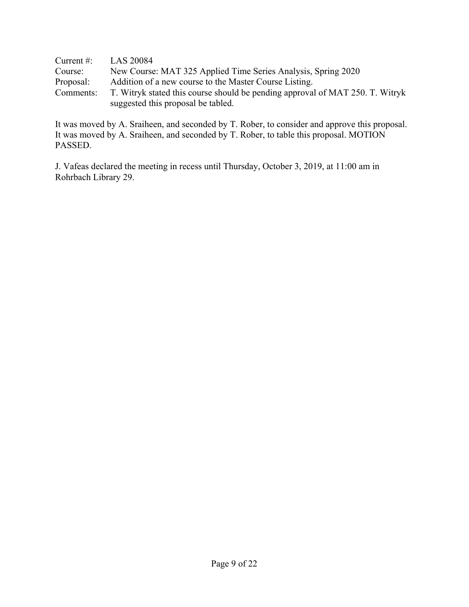| Current $#$ : | LAS 20084                                                                                                           |
|---------------|---------------------------------------------------------------------------------------------------------------------|
| Course:       | New Course: MAT 325 Applied Time Series Analysis, Spring 2020                                                       |
| Proposal:     | Addition of a new course to the Master Course Listing.                                                              |
| Comments:     | T. Witryk stated this course should be pending approval of MAT 250. T. Witryk<br>suggested this proposal be tabled. |

It was moved by A. Sraiheen, and seconded by T. Rober, to consider and approve this proposal. It was moved by A. Sraiheen, and seconded by T. Rober, to table this proposal. MOTION PASSED.

J. Vafeas declared the meeting in recess until Thursday, October 3, 2019, at 11:00 am in Rohrbach Library 29.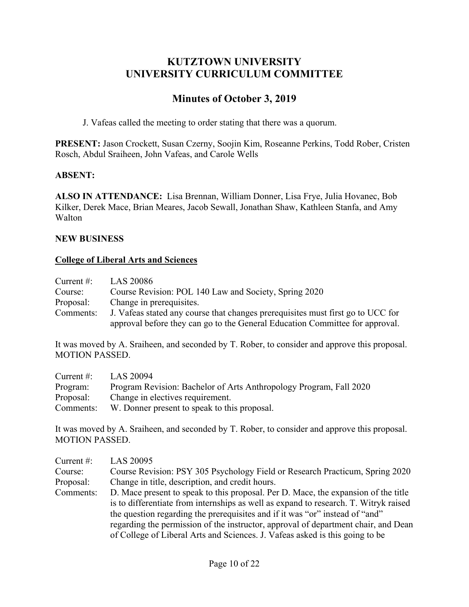# **KUTZTOWN UNIVERSITY UNIVERSITY CURRICULUM COMMITTEE**

# **Minutes of October 3, 2019**

J. Vafeas called the meeting to order stating that there was a quorum.

**PRESENT:** Jason Crockett, Susan Czerny, Soojin Kim, Roseanne Perkins, Todd Rober, Cristen Rosch, Abdul Sraiheen, John Vafeas, and Carole Wells

## **ABSENT:**

**ALSO IN ATTENDANCE:** Lisa Brennan, William Donner, Lisa Frye, Julia Hovanec, Bob Kilker, Derek Mace, Brian Meares, Jacob Sewall, Jonathan Shaw, Kathleen Stanfa, and Amy Walton

### **NEW BUSINESS**

## **College of Liberal Arts and Sciences**

| Current $#$ : | LAS 20086                                                                       |
|---------------|---------------------------------------------------------------------------------|
| Course:       | Course Revision: POL 140 Law and Society, Spring 2020                           |
| Proposal:     | Change in prerequisites.                                                        |
| Comments:     | J. Vafeas stated any course that changes prerequisites must first go to UCC for |
|               | approval before they can go to the General Education Committee for approval.    |

It was moved by A. Sraiheen, and seconded by T. Rober, to consider and approve this proposal. MOTION PASSED.

| Current $#$ : | LAS 20094                                                          |
|---------------|--------------------------------------------------------------------|
| Program:      | Program Revision: Bachelor of Arts Anthropology Program, Fall 2020 |
| Proposal:     | Change in electives requirement.                                   |
| Comments:     | W. Donner present to speak to this proposal.                       |

It was moved by A. Sraiheen, and seconded by T. Rober, to consider and approve this proposal. MOTION PASSED.

| Current $#$ : | LAS 20095                                                                            |
|---------------|--------------------------------------------------------------------------------------|
| Course:       | Course Revision: PSY 305 Psychology Field or Research Practicum, Spring 2020         |
| Proposal:     | Change in title, description, and credit hours.                                      |
| Comments:     | D. Mace present to speak to this proposal. Per D. Mace, the expansion of the title   |
|               | is to differentiate from internships as well as expand to research. T. Witryk raised |
|               | the question regarding the prerequisites and if it was "or" instead of "and"         |
|               | regarding the permission of the instructor, approval of department chair, and Dean   |
|               | of College of Liberal Arts and Sciences. J. Vafeas asked is this going to be         |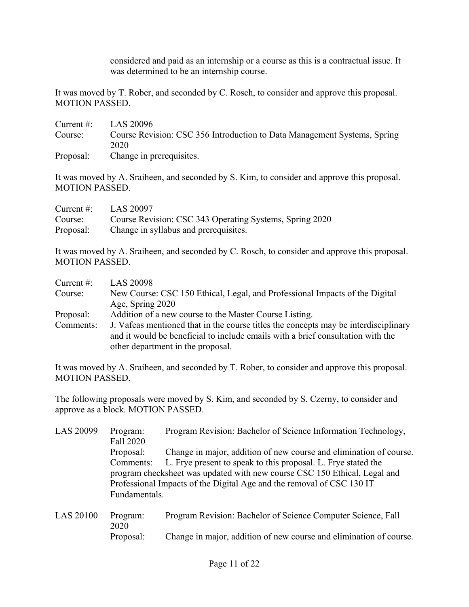considered and paid as an internship or a course as this is a contractual issue. It was determined to be an internship course.

It was moved by T. Rober, and seconded by C. Rosch, to consider and approve this proposal. MOTION PASSED.

| Current $#$ :         | LAS 20096                                                                |
|-----------------------|--------------------------------------------------------------------------|
| Course:               | Course Revision: CSC 356 Introduction to Data Management Systems, Spring |
|                       | 2020                                                                     |
| $D_{\text{nonlocal}}$ | Chango in provoquisitos                                                  |

Proposal: Change in prerequisites.

It was moved by A. Sraiheen, and seconded by S. Kim, to consider and approve this proposal. MOTION PASSED.

| Current $\#$ : | LAS 20097                                               |
|----------------|---------------------------------------------------------|
| Course:        | Course Revision: CSC 343 Operating Systems, Spring 2020 |
| Proposal:      | Change in syllabus and prerequisites.                   |

It was moved by A. Sraiheen, and seconded by C. Rosch, to consider and approve this proposal. MOTION PASSED.

| Current $#$ : | <b>LAS 20098</b>                                                                                                                                                                                            |  |  |
|---------------|-------------------------------------------------------------------------------------------------------------------------------------------------------------------------------------------------------------|--|--|
| Course:       | New Course: CSC 150 Ethical, Legal, and Professional Impacts of the Digital                                                                                                                                 |  |  |
|               | Age, Spring 2020                                                                                                                                                                                            |  |  |
| Proposal:     | Addition of a new course to the Master Course Listing.                                                                                                                                                      |  |  |
| Comments:     | J. Vafeas mentioned that in the course titles the concepts may be interdisciplinary<br>and it would be beneficial to include emails with a brief consultation with the<br>other department in the proposal. |  |  |
|               |                                                                                                                                                                                                             |  |  |

It was moved by A. Sraiheen, and seconded by T. Rober, to consider and approve this proposal. MOTION PASSED.

The following proposals were moved by S. Kim, and seconded by S. Czerny, to consider and approve as a block. MOTION PASSED.

| LAS 20099        | Program:<br>Fall 2020                                                     | Program Revision: Bachelor of Science Information Technology,      |  |  |
|------------------|---------------------------------------------------------------------------|--------------------------------------------------------------------|--|--|
|                  | Proposal:                                                                 | Change in major, addition of new course and elimination of course. |  |  |
|                  | Comments:                                                                 | L. Frye present to speak to this proposal. L. Frye stated the      |  |  |
|                  | program checksheet was updated with new course CSC 150 Ethical, Legal and |                                                                    |  |  |
|                  | Professional Impacts of the Digital Age and the removal of CSC 130 IT     |                                                                    |  |  |
|                  | Fundamentals.                                                             |                                                                    |  |  |
| <b>LAS 20100</b> | Program:<br>2020                                                          | Program Revision: Bachelor of Science Computer Science, Fall       |  |  |

Proposal: Change in major, addition of new course and elimination of course.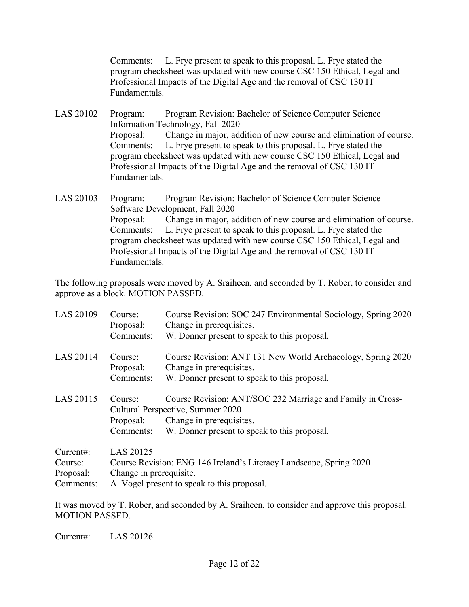Comments: L. Frye present to speak to this proposal. L. Frye stated the program checksheet was updated with new course CSC 150 Ethical, Legal and Professional Impacts of the Digital Age and the removal of CSC 130 IT Fundamentals.

LAS 20102 Program: Program Revision: Bachelor of Science Computer Science Information Technology, Fall 2020 Proposal: Change in major, addition of new course and elimination of course. Comments: L. Frye present to speak to this proposal. L. Frye stated the program checksheet was updated with new course CSC 150 Ethical, Legal and Professional Impacts of the Digital Age and the removal of CSC 130 IT Fundamentals.

LAS 20103 Program: Program Revision: Bachelor of Science Computer Science Software Development, Fall 2020 Proposal: Change in major, addition of new course and elimination of course. Comments: L. Frye present to speak to this proposal. L. Frye stated the program checksheet was updated with new course CSC 150 Ethical, Legal and Professional Impacts of the Digital Age and the removal of CSC 130 IT Fundamentals.

The following proposals were moved by A. Sraiheen, and seconded by T. Rober, to consider and approve as a block. MOTION PASSED.

| LAS 20109                                     | Course:<br>Proposal:<br>Comments:                                                                                                                         | Course Revision: SOC 247 Environmental Sociology, Spring 2020<br>Change in prerequisites.<br>W. Donner present to speak to this proposal.                                   |
|-----------------------------------------------|-----------------------------------------------------------------------------------------------------------------------------------------------------------|-----------------------------------------------------------------------------------------------------------------------------------------------------------------------------|
| LAS 20114                                     | Course:<br>Proposal:<br>Comments:                                                                                                                         | Course Revision: ANT 131 New World Archaeology, Spring 2020<br>Change in prerequisites.<br>W. Donner present to speak to this proposal.                                     |
| LAS 20115                                     | Course:<br>Proposal:<br>Comments:                                                                                                                         | Course Revision: ANT/SOC 232 Marriage and Family in Cross-<br>Cultural Perspective, Summer 2020<br>Change in prerequisites.<br>W. Donner present to speak to this proposal. |
| Current:<br>Course:<br>Proposal:<br>Comments: | LAS 20125<br>Course Revision: ENG 146 Ireland's Literacy Landscape, Spring 2020<br>Change in prerequisite.<br>A. Vogel present to speak to this proposal. |                                                                                                                                                                             |

It was moved by T. Rober, and seconded by A. Sraiheen, to consider and approve this proposal. MOTION PASSED.

Current#: LAS 20126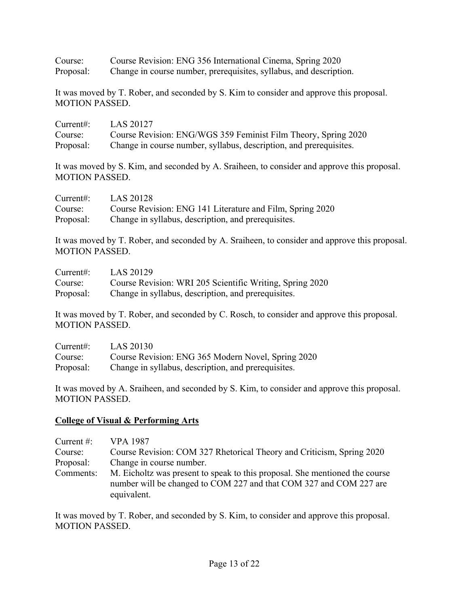Course: Course Revision: ENG 356 International Cinema, Spring 2020 Proposal: Change in course number, prerequisites, syllabus, and description.

It was moved by T. Rober, and seconded by S. Kim to consider and approve this proposal. MOTION PASSED.

| Current:  | LAS 20127                                                          |
|-----------|--------------------------------------------------------------------|
| Course:   | Course Revision: ENG/WGS 359 Feminist Film Theory, Spring 2020     |
| Proposal: | Change in course number, syllabus, description, and prerequisites. |

It was moved by S. Kim, and seconded by A. Sraiheen, to consider and approve this proposal. MOTION PASSED.

| Current:  | LAS 20128                                                 |
|-----------|-----------------------------------------------------------|
| Course:   | Course Revision: ENG 141 Literature and Film, Spring 2020 |
| Proposal: | Change in syllabus, description, and prerequisites.       |

It was moved by T. Rober, and seconded by A. Sraiheen, to consider and approve this proposal. MOTION PASSED.

| Current:  | LAS 20129                                                |
|-----------|----------------------------------------------------------|
| Course:   | Course Revision: WRI 205 Scientific Writing, Spring 2020 |
| Proposal: | Change in syllabus, description, and prerequisites.      |

It was moved by T. Rober, and seconded by C. Rosch, to consider and approve this proposal. MOTION PASSED.

| Current:  | LAS 20130                                           |
|-----------|-----------------------------------------------------|
| Course:   | Course Revision: ENG 365 Modern Novel, Spring 2020  |
| Proposal: | Change in syllabus, description, and prerequisites. |

It was moved by A. Sraiheen, and seconded by S. Kim, to consider and approve this proposal. MOTION PASSED.

### **College of Visual & Performing Arts**

| Current $#$ : | VPA 1987                                                                                                                                          |
|---------------|---------------------------------------------------------------------------------------------------------------------------------------------------|
| Course:       | Course Revision: COM 327 Rhetorical Theory and Criticism, Spring 2020                                                                             |
| Proposal:     | Change in course number.                                                                                                                          |
| Comments:     | M. Eicholtz was present to speak to this proposal. She mentioned the course<br>number will be changed to COM 227 and that COM 327 and COM 227 are |
|               | equivalent.                                                                                                                                       |

It was moved by T. Rober, and seconded by S. Kim, to consider and approve this proposal. MOTION PASSED.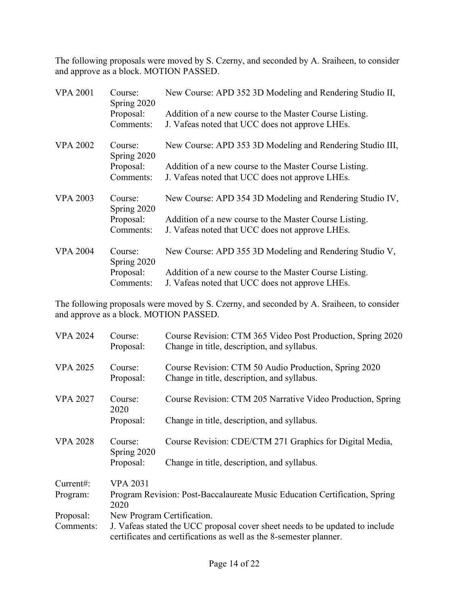The following proposals were moved by S. Czerny, and seconded by A. Sraiheen, to consider and approve as a block. MOTION PASSED.

| <b>VPA 2001</b> | Course:<br>Spring 2020                | New Course: APD 352 3D Modeling and Rendering Studio II,                                                  |
|-----------------|---------------------------------------|-----------------------------------------------------------------------------------------------------------|
|                 | Proposal:                             | Addition of a new course to the Master Course Listing.                                                    |
|                 | Comments:                             | J. Vafeas noted that UCC does not approve LHEs.                                                           |
| <b>VPA 2002</b> | Course:<br>Spring 2020                | New Course: APD 353 3D Modeling and Rendering Studio III,                                                 |
|                 | Proposal:<br>Comments:                | Addition of a new course to the Master Course Listing.<br>J. Vafeas noted that UCC does not approve LHEs. |
| <b>VPA 2003</b> | Course:                               | New Course: APD 354 3D Modeling and Rendering Studio IV,                                                  |
|                 | Spring 2020<br>Proposal:<br>Comments: | Addition of a new course to the Master Course Listing.<br>J. Vafeas noted that UCC does not approve LHEs. |
| <b>VPA 2004</b> | Course:<br>Spring 2020                | New Course: APD 355 3D Modeling and Rendering Studio V,                                                   |
|                 | Proposal:                             | Addition of a new course to the Master Course Listing.                                                    |
|                 | Comments:                             | J. Vafeas noted that UCC does not approve LHEs.                                                           |

The following proposals were moved by S. Czerny, and seconded by A. Sraiheen, to consider and approve as a block. MOTION PASSED.

| <b>VPA 2024</b> | Course:<br>Proposal:                                                                                                                               | Course Revision: CTM 365 Video Post Production, Spring 2020<br>Change in title, description, and syllabus. |
|-----------------|----------------------------------------------------------------------------------------------------------------------------------------------------|------------------------------------------------------------------------------------------------------------|
| <b>VPA 2025</b> | Course:<br>Proposal:                                                                                                                               | Course Revision: CTM 50 Audio Production, Spring 2020<br>Change in title, description, and syllabus.       |
| <b>VPA 2027</b> | Course:<br>2020                                                                                                                                    | Course Revision: CTM 205 Narrative Video Production, Spring                                                |
|                 | Proposal:                                                                                                                                          | Change in title, description, and syllabus.                                                                |
| <b>VPA 2028</b> | Course:<br>Spring 2020                                                                                                                             | Course Revision: CDE/CTM 271 Graphics for Digital Media,                                                   |
|                 | Proposal:                                                                                                                                          | Change in title, description, and syllabus.                                                                |
| Current:        | <b>VPA 2031</b>                                                                                                                                    |                                                                                                            |
| Program:        | Program Revision: Post-Baccalaureate Music Education Certification, Spring<br>2020                                                                 |                                                                                                            |
| Proposal:       | New Program Certification.                                                                                                                         |                                                                                                            |
| Comments:       | J. Vafeas stated the UCC proposal cover sheet needs to be updated to include<br>certificates and certifications as well as the 8-semester planner. |                                                                                                            |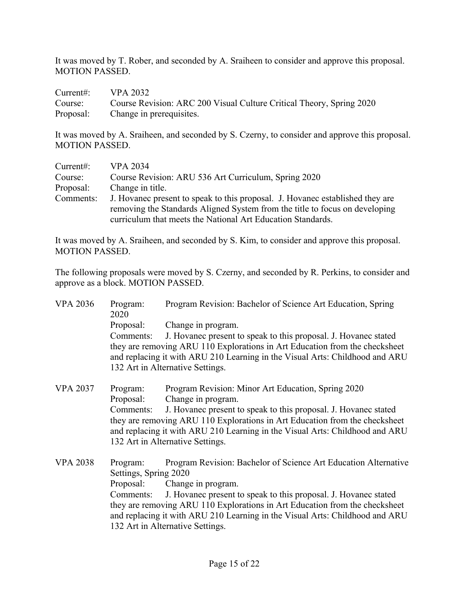It was moved by T. Rober, and seconded by A. Sraiheen to consider and approve this proposal. MOTION PASSED.

| Current#: $VPA 2032$ |                                                                              |
|----------------------|------------------------------------------------------------------------------|
|                      | Course: Course Revision: ARC 200 Visual Culture Critical Theory, Spring 2020 |
|                      | Proposal: Change in prerequisites.                                           |

It was moved by A. Sraiheen, and seconded by S. Czerny, to consider and approve this proposal. MOTION PASSED.

| Current:  | <b>VPA 2034</b>                                                               |
|-----------|-------------------------------------------------------------------------------|
| Course:   | Course Revision: ARU 536 Art Curriculum, Spring 2020                          |
| Proposal: | Change in title.                                                              |
| Comments: | J. Hovanec present to speak to this proposal. J. Hovanec established they are |
|           | removing the Standards Aligned System from the title to focus on developing   |
|           | curriculum that meets the National Art Education Standards.                   |

It was moved by A. Sraiheen, and seconded by S. Kim, to consider and approve this proposal. MOTION PASSED.

The following proposals were moved by S. Czerny, and seconded by R. Perkins, to consider and approve as a block. MOTION PASSED.

VPA 2036 Program: Program Revision: Bachelor of Science Art Education, Spring 2020 Proposal: Change in program. Comments: J. Hovanec present to speak to this proposal. J. Hovanec stated they are removing ARU 110 Explorations in Art Education from the checksheet and replacing it with ARU 210 Learning in the Visual Arts: Childhood and ARU 132 Art in Alternative Settings. VPA 2037 Program: Program Revision: Minor Art Education, Spring 2020 Proposal: Change in program. Comments: J. Hovanec present to speak to this proposal. J. Hovanec stated they are removing ARU 110 Explorations in Art Education from the checksheet and replacing it with ARU 210 Learning in the Visual Arts: Childhood and ARU 132 Art in Alternative Settings. VPA 2038 Program: Program Revision: Bachelor of Science Art Education Alternative Settings, Spring 2020 Proposal: Change in program. Comments: J. Hovanec present to speak to this proposal. J. Hovanec stated they are removing ARU 110 Explorations in Art Education from the checksheet

and replacing it with ARU 210 Learning in the Visual Arts: Childhood and ARU 132 Art in Alternative Settings.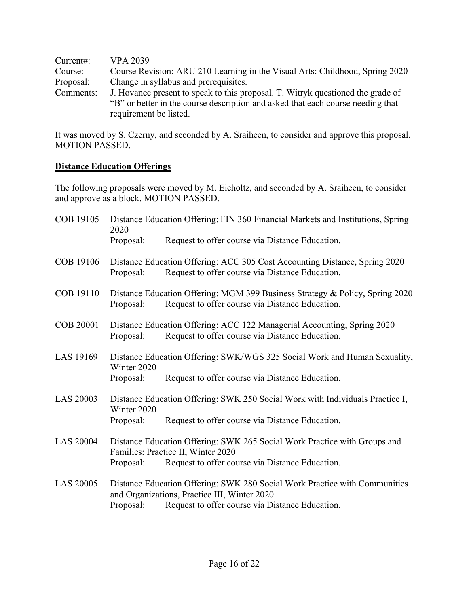| Current:  | <b>VPA 2039</b>                                                                 |
|-----------|---------------------------------------------------------------------------------|
| Course:   | Course Revision: ARU 210 Learning in the Visual Arts: Childhood, Spring 2020    |
| Proposal: | Change in syllabus and prerequisites.                                           |
| Comments: | J. Hovanec present to speak to this proposal. T. Witryk questioned the grade of |
|           | "B" or better in the course description and asked that each course needing that |
|           | requirement be listed.                                                          |

It was moved by S. Czerny, and seconded by A. Sraiheen, to consider and approve this proposal. MOTION PASSED.

### **Distance Education Offerings**

The following proposals were moved by M. Eicholtz, and seconded by A. Sraiheen, to consider and approve as a block. MOTION PASSED.

| COB 19105        | 2020                     | Distance Education Offering: FIN 360 Financial Markets and Institutions, Spring                                                                                               |
|------------------|--------------------------|-------------------------------------------------------------------------------------------------------------------------------------------------------------------------------|
|                  | Proposal:                | Request to offer course via Distance Education.                                                                                                                               |
| COB 19106        | Proposal:                | Distance Education Offering: ACC 305 Cost Accounting Distance, Spring 2020<br>Request to offer course via Distance Education.                                                 |
| COB 19110        | Proposal:                | Distance Education Offering: MGM 399 Business Strategy & Policy, Spring 2020<br>Request to offer course via Distance Education.                                               |
| <b>COB 20001</b> | Proposal:                | Distance Education Offering: ACC 122 Managerial Accounting, Spring 2020<br>Request to offer course via Distance Education.                                                    |
| LAS 19169        | Winter 2020<br>Proposal: | Distance Education Offering: SWK/WGS 325 Social Work and Human Sexuality,<br>Request to offer course via Distance Education.                                                  |
| <b>LAS 20003</b> | Winter 2020<br>Proposal: | Distance Education Offering: SWK 250 Social Work with Individuals Practice I,<br>Request to offer course via Distance Education.                                              |
| <b>LAS 20004</b> | Proposal:                | Distance Education Offering: SWK 265 Social Work Practice with Groups and<br>Families: Practice II, Winter 2020<br>Request to offer course via Distance Education.            |
| <b>LAS 20005</b> | Proposal:                | Distance Education Offering: SWK 280 Social Work Practice with Communities<br>and Organizations, Practice III, Winter 2020<br>Request to offer course via Distance Education. |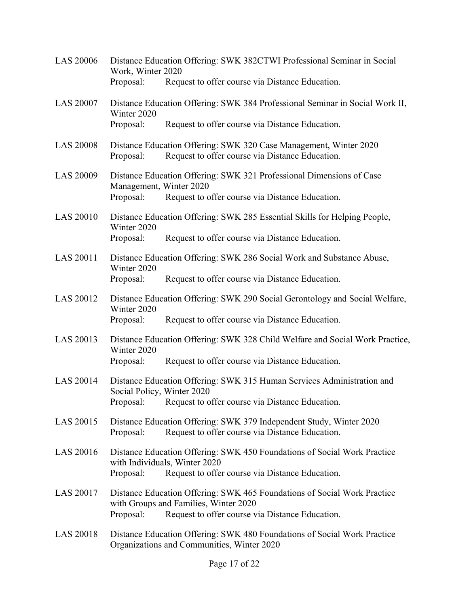| <b>LAS 20006</b> | Distance Education Offering: SWK 382CTWI Professional Seminar in Social<br>Work, Winter 2020         |                                                                                                                                                                      |  |
|------------------|------------------------------------------------------------------------------------------------------|----------------------------------------------------------------------------------------------------------------------------------------------------------------------|--|
|                  | Proposal:                                                                                            | Request to offer course via Distance Education.                                                                                                                      |  |
| <b>LAS 20007</b> | Distance Education Offering: SWK 384 Professional Seminar in Social Work II,<br>Winter 2020          |                                                                                                                                                                      |  |
|                  | Proposal:                                                                                            | Request to offer course via Distance Education.                                                                                                                      |  |
| <b>LAS 20008</b> | Proposal:                                                                                            | Distance Education Offering: SWK 320 Case Management, Winter 2020<br>Request to offer course via Distance Education.                                                 |  |
| <b>LAS 20009</b> | Management, Winter 2020<br>Proposal:                                                                 | Distance Education Offering: SWK 321 Professional Dimensions of Case<br>Request to offer course via Distance Education.                                              |  |
|                  |                                                                                                      |                                                                                                                                                                      |  |
| <b>LAS 20010</b> | Winter 2020                                                                                          | Distance Education Offering: SWK 285 Essential Skills for Helping People,                                                                                            |  |
|                  | Proposal:                                                                                            | Request to offer course via Distance Education.                                                                                                                      |  |
| LAS 20011        | Winter 2020                                                                                          | Distance Education Offering: SWK 286 Social Work and Substance Abuse,                                                                                                |  |
|                  | Proposal:                                                                                            | Request to offer course via Distance Education.                                                                                                                      |  |
| <b>LAS 20012</b> | Winter 2020                                                                                          | Distance Education Offering: SWK 290 Social Gerontology and Social Welfare,                                                                                          |  |
|                  | Proposal:                                                                                            | Request to offer course via Distance Education.                                                                                                                      |  |
| LAS 20013        | Distance Education Offering: SWK 328 Child Welfare and Social Work Practice,<br>Winter 2020          |                                                                                                                                                                      |  |
|                  | Proposal:                                                                                            | Request to offer course via Distance Education.                                                                                                                      |  |
| <b>LAS 20014</b> | Distance Education Offering: SWK 315 Human Services Administration and<br>Social Policy, Winter 2020 |                                                                                                                                                                      |  |
|                  | Proposal:                                                                                            | Request to offer course via Distance Education.                                                                                                                      |  |
| LAS 20015        | Proposal:                                                                                            | Distance Education Offering: SWK 379 Independent Study, Winter 2020<br>Request to offer course via Distance Education.                                               |  |
| LAS 20016        | Proposal:                                                                                            | Distance Education Offering: SWK 450 Foundations of Social Work Practice<br>with Individuals, Winter 2020<br>Request to offer course via Distance Education.         |  |
|                  |                                                                                                      |                                                                                                                                                                      |  |
| LAS 20017        | Proposal:                                                                                            | Distance Education Offering: SWK 465 Foundations of Social Work Practice<br>with Groups and Families, Winter 2020<br>Request to offer course via Distance Education. |  |
| <b>LAS 20018</b> |                                                                                                      | Distance Education Offering: SWK 480 Foundations of Social Work Practice<br>Organizations and Communities, Winter 2020                                               |  |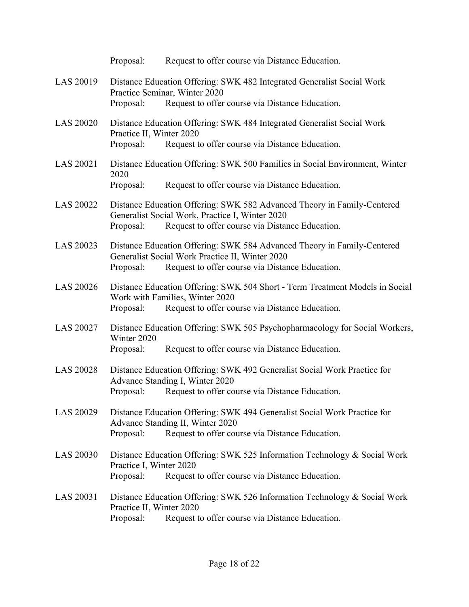|                  | Proposal:                                                                                                                                                            | Request to offer course via Distance Education.                                                                                                                               |
|------------------|----------------------------------------------------------------------------------------------------------------------------------------------------------------------|-------------------------------------------------------------------------------------------------------------------------------------------------------------------------------|
| LAS 20019        |                                                                                                                                                                      | Distance Education Offering: SWK 482 Integrated Generalist Social Work<br>Practice Seminar, Winter 2020                                                                       |
|                  | Proposal:                                                                                                                                                            | Request to offer course via Distance Education.                                                                                                                               |
| <b>LAS 20020</b> | Practice II, Winter 2020                                                                                                                                             | Distance Education Offering: SWK 484 Integrated Generalist Social Work                                                                                                        |
|                  | Proposal:                                                                                                                                                            | Request to offer course via Distance Education.                                                                                                                               |
| <b>LAS 20021</b> | 2020                                                                                                                                                                 | Distance Education Offering: SWK 500 Families in Social Environment, Winter                                                                                                   |
|                  | Proposal:                                                                                                                                                            | Request to offer course via Distance Education.                                                                                                                               |
| <b>LAS 20022</b> | Proposal:                                                                                                                                                            | Distance Education Offering: SWK 582 Advanced Theory in Family-Centered<br>Generalist Social Work, Practice I, Winter 2020<br>Request to offer course via Distance Education. |
| LAS 20023        | Proposal:                                                                                                                                                            | Distance Education Offering: SWK 584 Advanced Theory in Family-Centered<br>Generalist Social Work Practice II, Winter 2020<br>Request to offer course via Distance Education. |
| <b>LAS 20026</b> | Proposal:                                                                                                                                                            | Distance Education Offering: SWK 504 Short - Term Treatment Models in Social<br>Work with Families, Winter 2020<br>Request to offer course via Distance Education.            |
| LAS 20027        | Winter 2020<br>Proposal:                                                                                                                                             | Distance Education Offering: SWK 505 Psychopharmacology for Social Workers,<br>Request to offer course via Distance Education.                                                |
| <b>LAS 20028</b> | Proposal:                                                                                                                                                            | Distance Education Offering: SWK 492 Generalist Social Work Practice for<br>Advance Standing I, Winter 2020<br>Request to offer course via Distance Education.                |
| LAS 20029        | Proposal:                                                                                                                                                            | Distance Education Offering: SWK 494 Generalist Social Work Practice for<br>Advance Standing II, Winter 2020<br>Request to offer course via Distance Education.               |
| <b>LAS 20030</b> | Distance Education Offering: SWK 525 Information Technology & Social Work<br>Practice I, Winter 2020<br>Proposal:<br>Request to offer course via Distance Education. |                                                                                                                                                                               |
| LAS 20031        | Practice II, Winter 2020<br>Proposal:                                                                                                                                | Distance Education Offering: SWK 526 Information Technology & Social Work<br>Request to offer course via Distance Education.                                                  |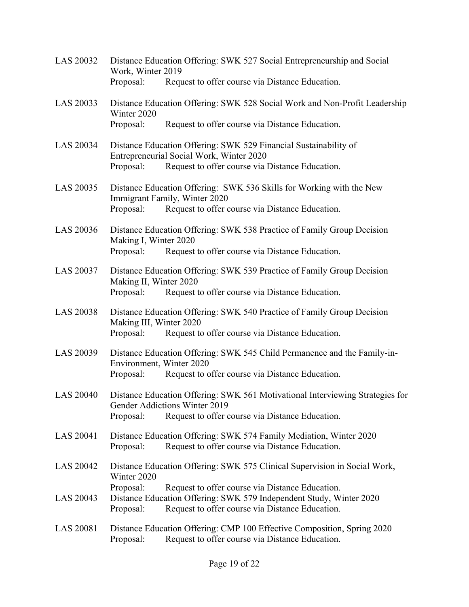| <b>LAS 20032</b> | Distance Education Offering: SWK 527 Social Entrepreneurship and Social<br>Work, Winter 2019                                                                                                        |
|------------------|-----------------------------------------------------------------------------------------------------------------------------------------------------------------------------------------------------|
|                  | Proposal:<br>Request to offer course via Distance Education.                                                                                                                                        |
| LAS 20033        | Distance Education Offering: SWK 528 Social Work and Non-Profit Leadership<br>Winter 2020                                                                                                           |
|                  | Request to offer course via Distance Education.<br>Proposal:                                                                                                                                        |
| LAS 20034        | Distance Education Offering: SWK 529 Financial Sustainability of<br>Entrepreneurial Social Work, Winter 2020<br>Proposal:<br>Request to offer course via Distance Education.                        |
| LAS 20035        | Distance Education Offering: SWK 536 Skills for Working with the New<br>Immigrant Family, Winter 2020<br>Request to offer course via Distance Education.<br>Proposal:                               |
| LAS 20036        | Distance Education Offering: SWK 538 Practice of Family Group Decision<br>Making I, Winter 2020<br>Request to offer course via Distance Education.<br>Proposal:                                     |
| <b>LAS 20037</b> | Distance Education Offering: SWK 539 Practice of Family Group Decision<br>Making II, Winter 2020<br>Proposal:<br>Request to offer course via Distance Education.                                    |
| <b>LAS 20038</b> | Distance Education Offering: SWK 540 Practice of Family Group Decision<br>Making III, Winter 2020<br>Request to offer course via Distance Education.<br>Proposal:                                   |
| LAS 20039        | Distance Education Offering: SWK 545 Child Permanence and the Family-in-<br>Environment, Winter 2020<br>Proposal:<br>Request to offer course via Distance Education.                                |
| <b>LAS 20040</b> | Distance Education Offering: SWK 561 Motivational Interviewing Strategies for<br>Gender Addictions Winter 2019<br>Request to offer course via Distance Education.<br>Proposal:                      |
| LAS 20041        | Distance Education Offering: SWK 574 Family Mediation, Winter 2020<br>Request to offer course via Distance Education.<br>Proposal:                                                                  |
| <b>LAS 20042</b> | Distance Education Offering: SWK 575 Clinical Supervision in Social Work,<br>Winter 2020                                                                                                            |
| LAS 20043        | Proposal:<br>Request to offer course via Distance Education.<br>Distance Education Offering: SWK 579 Independent Study, Winter 2020<br>Proposal:<br>Request to offer course via Distance Education. |
| LAS 20081        | Distance Education Offering: CMP 100 Effective Composition, Spring 2020<br>Request to offer course via Distance Education.<br>Proposal:                                                             |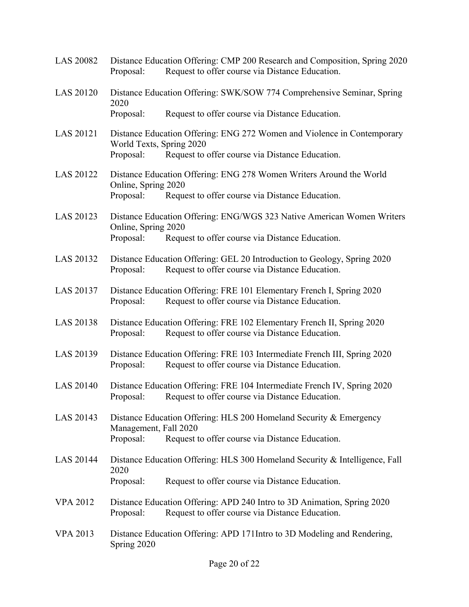| <b>LAS 20082</b> | Proposal:                             | Distance Education Offering: CMP 200 Research and Composition, Spring 2020<br>Request to offer course via Distance Education. |
|------------------|---------------------------------------|-------------------------------------------------------------------------------------------------------------------------------|
| LAS 20120        | 2020                                  | Distance Education Offering: SWK/SOW 774 Comprehensive Seminar, Spring                                                        |
|                  | Proposal:                             | Request to offer course via Distance Education.                                                                               |
| LAS 20121        | World Texts, Spring 2020<br>Proposal: | Distance Education Offering: ENG 272 Women and Violence in Contemporary<br>Request to offer course via Distance Education.    |
| LAS 20122        | Online, Spring 2020<br>Proposal:      | Distance Education Offering: ENG 278 Women Writers Around the World<br>Request to offer course via Distance Education.        |
| LAS 20123        | Online, Spring 2020<br>Proposal:      | Distance Education Offering: ENG/WGS 323 Native American Women Writers<br>Request to offer course via Distance Education.     |
| LAS 20132        | Proposal:                             | Distance Education Offering: GEL 20 Introduction to Geology, Spring 2020<br>Request to offer course via Distance Education.   |
| LAS 20137        | Proposal:                             | Distance Education Offering: FRE 101 Elementary French I, Spring 2020<br>Request to offer course via Distance Education.      |
| LAS 20138        | Proposal:                             | Distance Education Offering: FRE 102 Elementary French II, Spring 2020<br>Request to offer course via Distance Education.     |
| LAS 20139        | Proposal:                             | Distance Education Offering: FRE 103 Intermediate French III, Spring 2020<br>Request to offer course via Distance Education.  |
| <b>LAS 20140</b> | Proposal:                             | Distance Education Offering: FRE 104 Intermediate French IV, Spring 2020<br>Request to offer course via Distance Education.   |
| LAS 20143        | Management, Fall 2020<br>Proposal:    | Distance Education Offering: HLS 200 Homeland Security & Emergency<br>Request to offer course via Distance Education.         |
| LAS 20144        | 2020                                  | Distance Education Offering: HLS 300 Homeland Security & Intelligence, Fall                                                   |
|                  | Proposal:                             | Request to offer course via Distance Education.                                                                               |
| <b>VPA 2012</b>  | Proposal:                             | Distance Education Offering: APD 240 Intro to 3D Animation, Spring 2020<br>Request to offer course via Distance Education.    |
| <b>VPA 2013</b>  | Spring 2020                           | Distance Education Offering: APD 171Intro to 3D Modeling and Rendering,                                                       |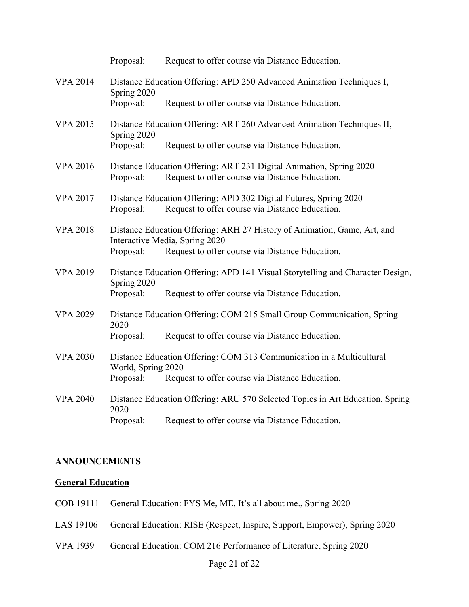|                 | Proposal:                                                                            | Request to offer course via Distance Education.                                                                                                               |  |
|-----------------|--------------------------------------------------------------------------------------|---------------------------------------------------------------------------------------------------------------------------------------------------------------|--|
| <b>VPA 2014</b> | Distance Education Offering: APD 250 Advanced Animation Techniques I,<br>Spring 2020 |                                                                                                                                                               |  |
|                 | Proposal:                                                                            | Request to offer course via Distance Education.                                                                                                               |  |
| <b>VPA 2015</b> | Spring 2020                                                                          | Distance Education Offering: ART 260 Advanced Animation Techniques II,                                                                                        |  |
|                 | Proposal:                                                                            | Request to offer course via Distance Education.                                                                                                               |  |
| <b>VPA 2016</b> | Proposal:                                                                            | Distance Education Offering: ART 231 Digital Animation, Spring 2020<br>Request to offer course via Distance Education.                                        |  |
| <b>VPA 2017</b> | Proposal:                                                                            | Distance Education Offering: APD 302 Digital Futures, Spring 2020<br>Request to offer course via Distance Education.                                          |  |
| <b>VPA 2018</b> | Proposal:                                                                            | Distance Education Offering: ARH 27 History of Animation, Game, Art, and<br>Interactive Media, Spring 2020<br>Request to offer course via Distance Education. |  |
|                 |                                                                                      |                                                                                                                                                               |  |
| <b>VPA 2019</b> | Spring 2020                                                                          | Distance Education Offering: APD 141 Visual Storytelling and Character Design,                                                                                |  |
|                 | Proposal:                                                                            | Request to offer course via Distance Education.                                                                                                               |  |
| <b>VPA 2029</b> | 2020                                                                                 | Distance Education Offering: COM 215 Small Group Communication, Spring                                                                                        |  |
|                 | Proposal:                                                                            | Request to offer course via Distance Education.                                                                                                               |  |
| <b>VPA 2030</b> | World, Spring 2020                                                                   | Distance Education Offering: COM 313 Communication in a Multicultural                                                                                         |  |
|                 | Proposal:                                                                            | Request to offer course via Distance Education.                                                                                                               |  |
| <b>VPA 2040</b> | 2020                                                                                 | Distance Education Offering: ARU 570 Selected Topics in Art Education, Spring                                                                                 |  |
|                 | Proposal:                                                                            | Request to offer course via Distance Education.                                                                                                               |  |

## **ANNOUNCEMENTS**

## **General Education**

- COB 19111 General Education: FYS Me, ME, It's all about me., Spring 2020
- LAS 19106 General Education: RISE (Respect, Inspire, Support, Empower), Spring 2020
- VPA 1939 General Education: COM 216 Performance of Literature, Spring 2020